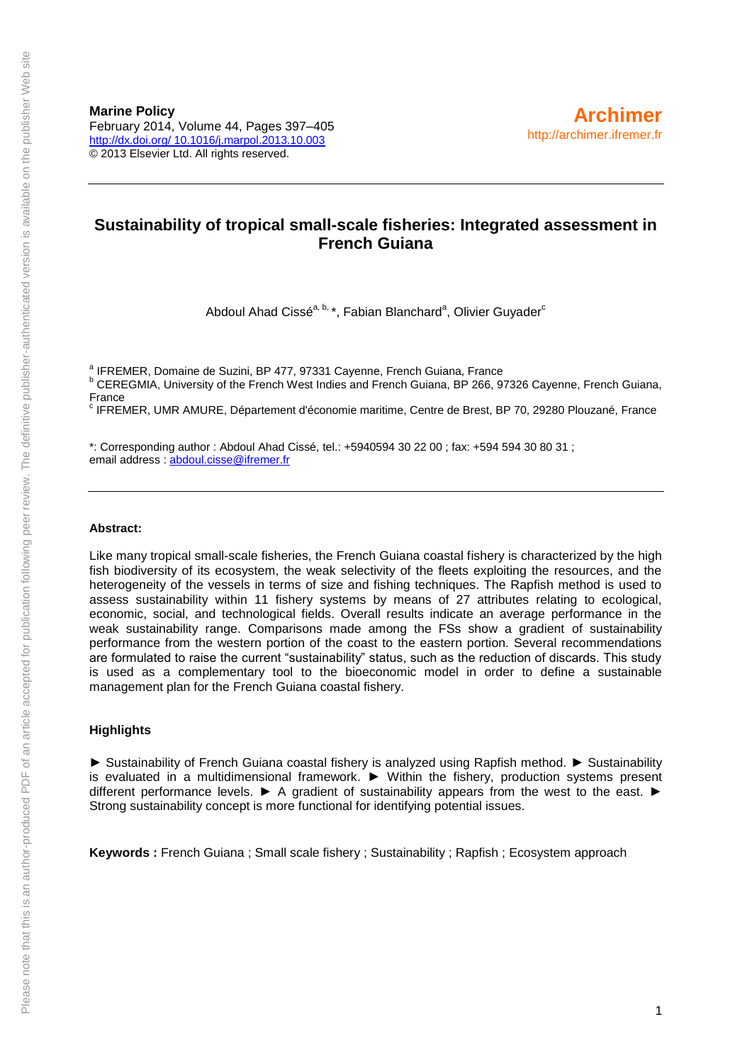**Marine Policy** February 2014, Volume 44, Pages 397–405 http://dx.doi.org/ [10.1016/j.marpol.2013.10.003](http://dx.doi.org/%2010.1016/j.marpol.2013.10.003) © 2013 Elsevier Ltd. All rights reserved.

### **Sustainability of tropical small-scale fisheries: Integrated assessment in French Guiana**

Abdoul Ahad Cissé<sup>a, b,</sup> \*, Fabian Blanchard<sup>a</sup>, Olivier Guyader<sup>c</sup>

<sup>a</sup> IFREMER, Domaine de Suzini, BP 477, 97331 Cayenne, French Guiana, France

<sup>b</sup> CEREGMIA, University of the French West Indies and French Guiana, BP 266, 97326 Cayenne, French Guiana, France

<sup>c</sup> IFREMER, UMR AMURE, Département d'économie maritime, Centre de Brest, BP 70, 29280 Plouzané, France

\*: Corresponding author : Abdoul Ahad Cissé, tel.: +5940594 30 22 00 ; fax: +594 594 30 80 31 ; email address : [abdoul.cisse@ifremer.fr](mailto:abdoul.cisse@ifremer.fr)

#### **Abstract:**

Like many tropical small-scale fisheries, the French Guiana coastal fishery is characterized by the high fish biodiversity of its ecosystem, the weak selectivity of the fleets exploiting the resources, and the heterogeneity of the vessels in terms of size and fishing techniques. The Rapfish method is used to assess sustainability within 11 fishery systems by means of 27 attributes relating to ecological, economic, social, and technological fields. Overall results indicate an average performance in the weak sustainability range. Comparisons made among the FSs show a gradient of sustainability performance from the western portion of the coast to the eastern portion. Several recommendations are formulated to raise the current "sustainability" status, such as the reduction of discards. This study is used as a complementary tool to the bioeconomic model in order to define a sustainable management plan for the French Guiana coastal fishery.

#### **Highlights**

► Sustainability of French Guiana coastal fishery is analyzed using Rapfish method. ► Sustainability is evaluated in a multidimensional framework. ► Within the fishery, production systems present different performance levels. ► A gradient of sustainability appears from the west to the east. ► Strong sustainability concept is more functional for identifying potential issues.

**Keywords :** French Guiana ; Small scale fishery ; Sustainability ; Rapfish ; Ecosystem approach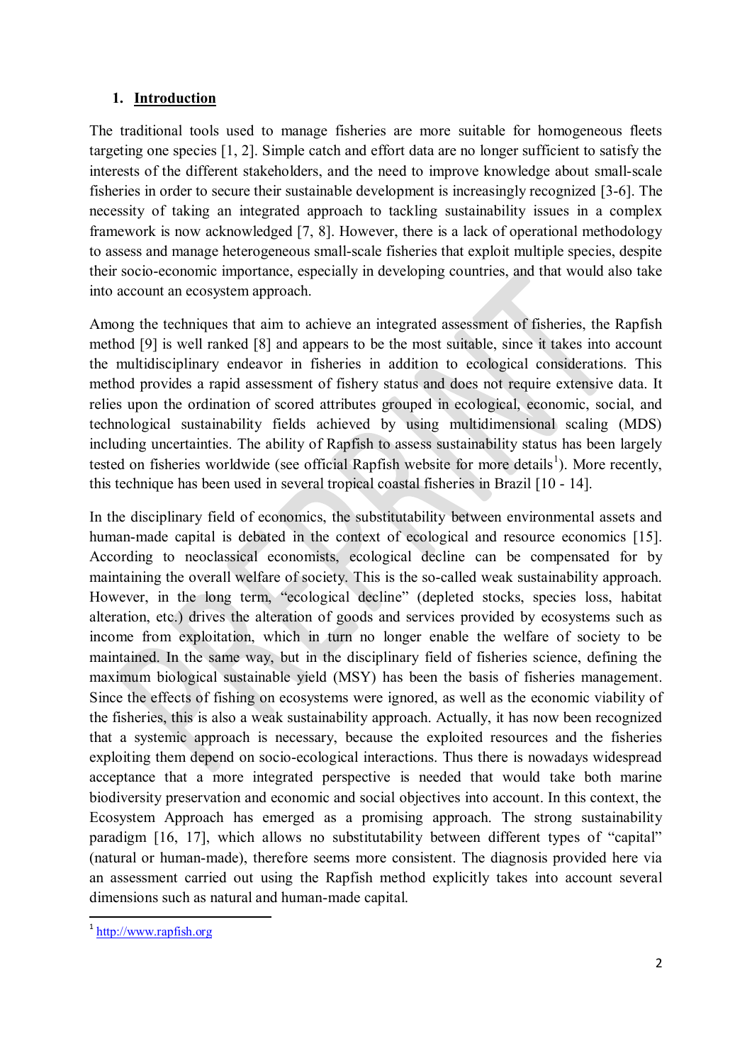#### **1. Introduction**

The traditional tools used to manage fisheries are more suitable for homogeneous fleets targeting one species [1, 2]. Simple catch and effort data are no longer sufficient to satisfy the interests of the different stakeholders, and the need to improve knowledge about small-scale fisheries in order to secure their sustainable development is increasingly recognized [3-6]. The necessity of taking an integrated approach to tackling sustainability issues in a complex framework is now acknowledged [7, 8]. However, there is a lack of operational methodology to assess and manage heterogeneous small-scale fisheries that exploit multiple species, despite their socio-economic importance, especially in developing countries, and that would also take into account an ecosystem approach.

Among the techniques that aim to achieve an integrated assessment of fisheries, the Rapfish method [9] is well ranked [8] and appears to be the most suitable, since it takes into account the multidisciplinary endeavor in fisheries in addition to ecological considerations. This method provides a rapid assessment of fishery status and does not require extensive data. It relies upon the ordination of scored attributes grouped in ecological, economic, social, and technological sustainability fields achieved by using multidimensional scaling (MDS) including uncertainties. The ability of Rapfish to assess sustainability status has been largely tested on fisheries worldwide (see official Rapfish website for more details<sup>1</sup>). More recently, this technique has been used in several tropical coastal fisheries in Brazil [10 - 14].

In the disciplinary field of economics, the substitutability between environmental assets and human-made capital is debated in the context of ecological and resource economics [15]. According to neoclassical economists, ecological decline can be compensated for by maintaining the overall welfare of society. This is the so-called weak sustainability approach. However, in the long term, "ecological decline" (depleted stocks, species loss, habitat alteration, etc.) drives the alteration of goods and services provided by ecosystems such as income from exploitation, which in turn no longer enable the welfare of society to be maintained. In the same way, but in the disciplinary field of fisheries science, defining the maximum biological sustainable yield (MSY) has been the basis of fisheries management. Since the effects of fishing on ecosystems were ignored, as well as the economic viability of the fisheries, this is also a weak sustainability approach. Actually, it has now been recognized that a systemic approach is necessary, because the exploited resources and the fisheries exploiting them depend on socio-ecological interactions. Thus there is nowadays widespread acceptance that a more integrated perspective is needed that would take both marine biodiversity preservation and economic and social objectives into account. In this context, the Ecosystem Approach has emerged as a promising approach. The strong sustainability paradigm [16, 17], which allows no substitutability between different types of "capital" (natural or human-made), therefore seems more consistent. The diagnosis provided here via an assessment carried out using the Rapfish method explicitly takes into account several dimensions such as natural and human-made capital.

**.** 

<sup>&</sup>lt;sup>1</sup> [http://www.rapfish.org](http://www.rapfish.org/)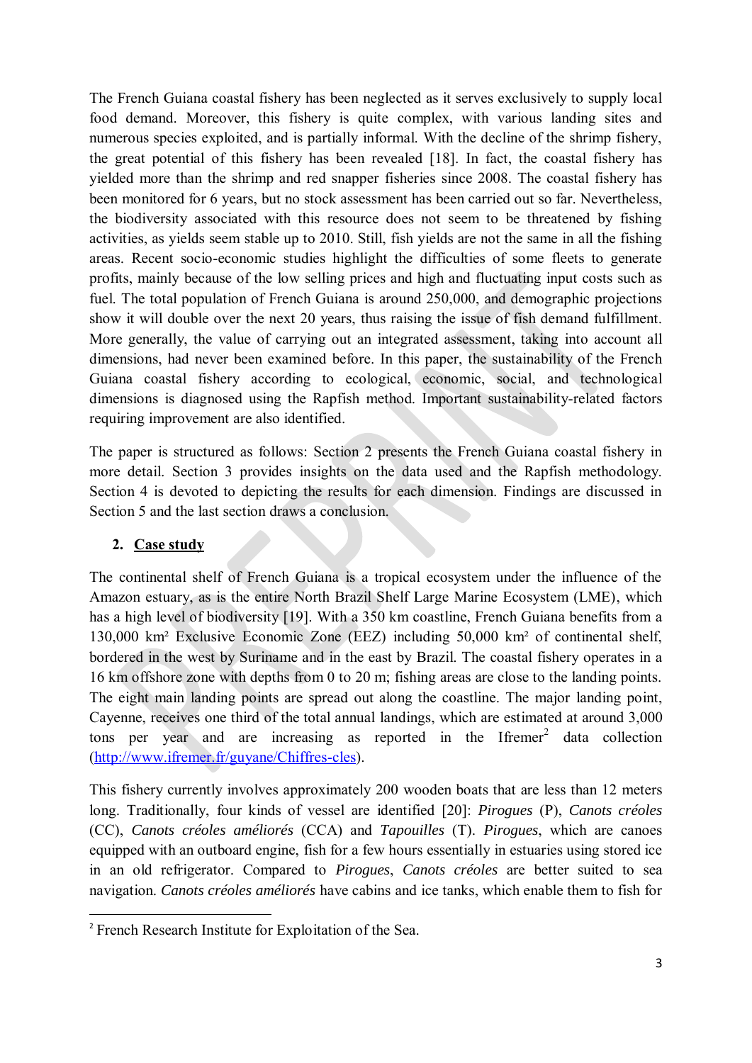The French Guiana coastal fishery has been neglected as it serves exclusively to supply local food demand. Moreover, this fishery is quite complex, with various landing sites and numerous species exploited, and is partially informal. With the decline of the shrimp fishery, the great potential of this fishery has been revealed [18]. In fact, the coastal fishery has yielded more than the shrimp and red snapper fisheries since 2008. The coastal fishery has been monitored for 6 years, but no stock assessment has been carried out so far. Nevertheless, the biodiversity associated with this resource does not seem to be threatened by fishing activities, as yields seem stable up to 2010. Still, fish yields are not the same in all the fishing areas. Recent socio-economic studies highlight the difficulties of some fleets to generate profits, mainly because of the low selling prices and high and fluctuating input costs such as fuel. The total population of French Guiana is around 250,000, and demographic projections show it will double over the next 20 years, thus raising the issue of fish demand fulfillment. More generally, the value of carrying out an integrated assessment, taking into account all dimensions, had never been examined before. In this paper, the sustainability of the French Guiana coastal fishery according to ecological, economic, social, and technological dimensions is diagnosed using the Rapfish method. Important sustainability-related factors requiring improvement are also identified.

The paper is structured as follows: Section 2 presents the French Guiana coastal fishery in more detail. Section 3 provides insights on the data used and the Rapfish methodology. Section 4 is devoted to depicting the results for each dimension. Findings are discussed in Section 5 and the last section draws a conclusion.

#### **2. Case study**

1

The continental shelf of French Guiana is a tropical ecosystem under the influence of the Amazon estuary, as is the entire North Brazil Shelf Large Marine Ecosystem (LME), which has a high level of biodiversity [19]. With a 350 km coastline, French Guiana benefits from a 130,000 km² Exclusive Economic Zone (EEZ) including 50,000 km² of continental shelf, bordered in the west by Suriname and in the east by Brazil. The coastal fishery operates in a 16 km offshore zone with depths from 0 to 20 m; fishing areas are close to the landing points. The eight main landing points are spread out along the coastline. The major landing point, Cayenne, receives one third of the total annual landings, which are estimated at around 3,000 tons per year and are increasing as reported in the Ifremer<sup>2</sup> data collection [\(http://www.ifremer.fr/guyane/Chiffres-cles\)](http://www.ifremer.fr/guyane/Chiffres-cles).

This fishery currently involves approximately 200 wooden boats that are less than 12 meters long. Traditionally, four kinds of vessel are identified [20]: *Pirogues* (P), *Canots créoles* (CC), *Canots créoles améliorés* (CCA) and *Tapouilles* (T). *Pirogues*, which are canoes equipped with an outboard engine, fish for a few hours essentially in estuaries using stored ice in an old refrigerator. Compared to *Pirogues*, *Canots créoles* are better suited to sea navigation. *Canots créoles améliorés* have cabins and ice tanks, which enable them to fish for

<sup>&</sup>lt;sup>2</sup> French Research Institute for Exploitation of the Sea.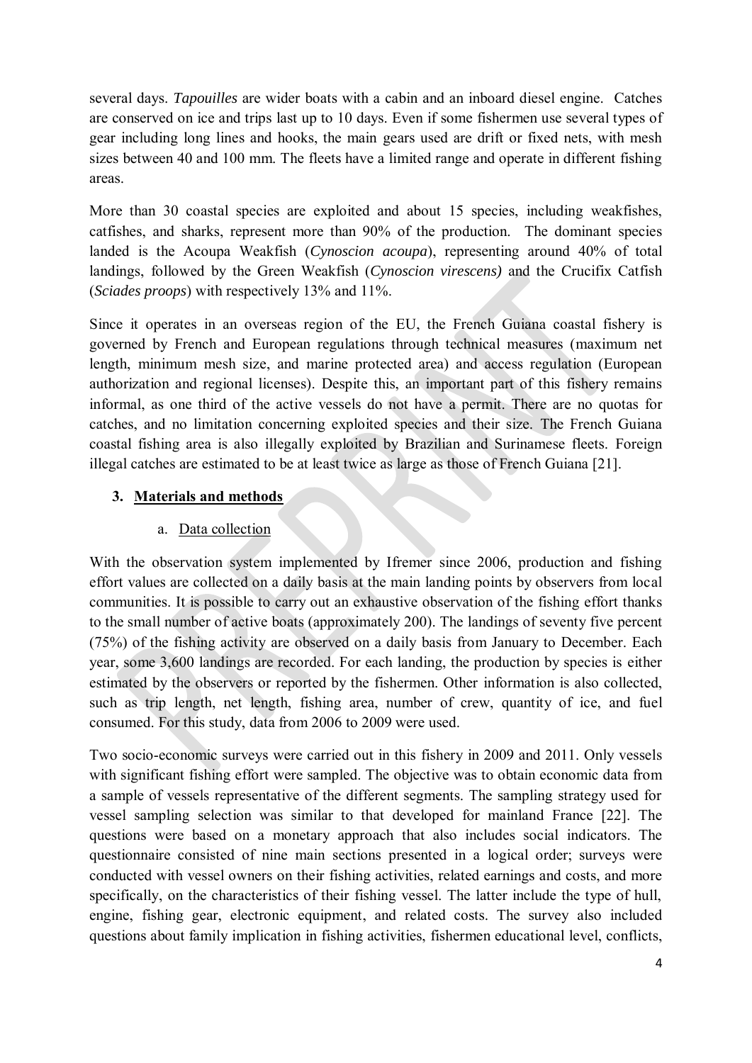several days. *Tapouilles* are wider boats with a cabin and an inboard diesel engine. Catches are conserved on ice and trips last up to 10 days. Even if some fishermen use several types of gear including long lines and hooks, the main gears used are drift or fixed nets, with mesh sizes between 40 and 100 mm. The fleets have a limited range and operate in different fishing areas.

More than 30 coastal species are exploited and about 15 species, including weakfishes, catfishes, and sharks, represent more than 90% of the production. The dominant species landed is the Acoupa Weakfish (*Cynoscion acoupa*), representing around 40% of total landings, followed by the Green Weakfish (*Cynoscion virescens)* and the Crucifix Catfish (*Sciades proops*) with respectively 13% and 11%.

Since it operates in an overseas region of the EU, the French Guiana coastal fishery is governed by French and European regulations through technical measures (maximum net length, minimum mesh size, and marine protected area) and access regulation (European authorization and regional licenses). Despite this, an important part of this fishery remains informal, as one third of the active vessels do not have a permit. There are no quotas for catches, and no limitation concerning exploited species and their size. The French Guiana coastal fishing area is also illegally exploited by Brazilian and Surinamese fleets. Foreign illegal catches are estimated to be at least twice as large as those of French Guiana [21].

### **3. Materials and methods**

### a. Data collection

With the observation system implemented by Ifremer since 2006, production and fishing effort values are collected on a daily basis at the main landing points by observers from local communities. It is possible to carry out an exhaustive observation of the fishing effort thanks to the small number of active boats (approximately 200). The landings of seventy five percent (75%) of the fishing activity are observed on a daily basis from January to December. Each year, some 3,600 landings are recorded. For each landing, the production by species is either estimated by the observers or reported by the fishermen. Other information is also collected, such as trip length, net length, fishing area, number of crew, quantity of ice, and fuel consumed. For this study, data from 2006 to 2009 were used.

Two socio-economic surveys were carried out in this fishery in 2009 and 2011. Only vessels with significant fishing effort were sampled. The objective was to obtain economic data from a sample of vessels representative of the different segments. The sampling strategy used for vessel sampling selection was similar to that developed for mainland France [22]. The questions were based on a monetary approach that also includes social indicators. The questionnaire consisted of nine main sections presented in a logical order; surveys were conducted with vessel owners on their fishing activities, related earnings and costs, and more specifically, on the characteristics of their fishing vessel. The latter include the type of hull, engine, fishing gear, electronic equipment, and related costs. The survey also included questions about family implication in fishing activities, fishermen educational level, conflicts,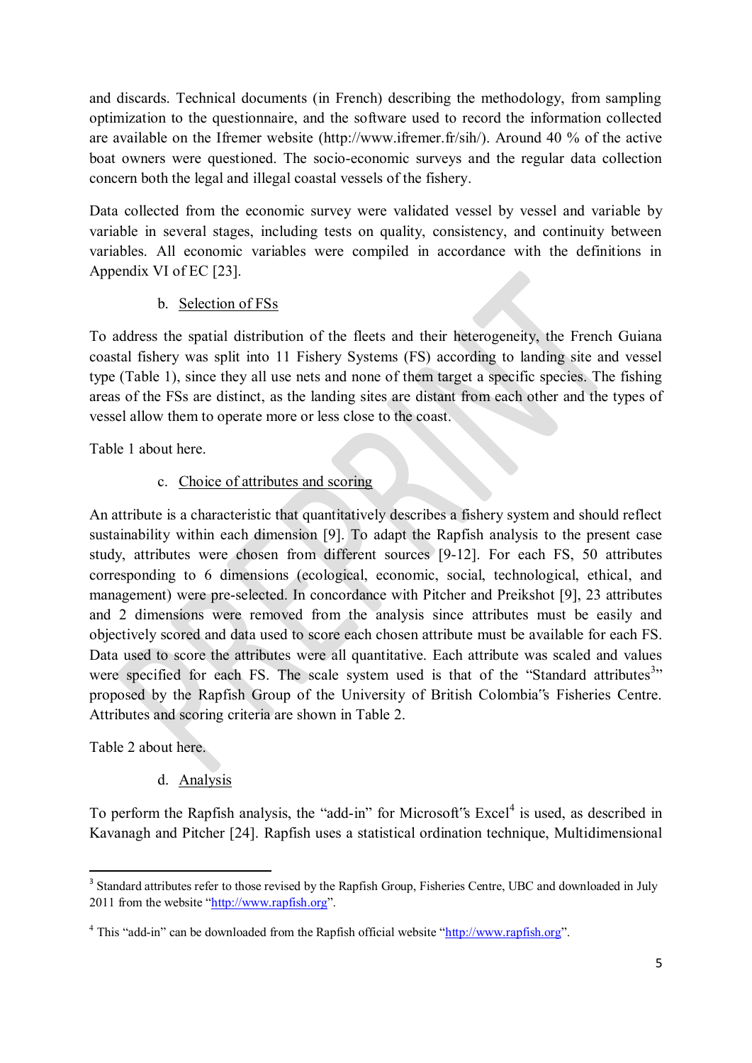and discards. Technical documents (in French) describing the methodology, from sampling optimization to the questionnaire, and the software used to record the information collected are available on the Ifremer website (http://www.ifremer.fr/sih/). Around 40 % of the active boat owners were questioned. The socio-economic surveys and the regular data collection concern both the legal and illegal coastal vessels of the fishery.

Data collected from the economic survey were validated vessel by vessel and variable by variable in several stages, including tests on quality, consistency, and continuity between variables. All economic variables were compiled in accordance with the definitions in Appendix VI of EC [23].

# b. Selection of FSs

To address the spatial distribution of the fleets and their heterogeneity, the French Guiana coastal fishery was split into 11 Fishery Systems (FS) according to landing site and vessel type (Table 1), since they all use nets and none of them target a specific species. The fishing areas of the FSs are distinct, as the landing sites are distant from each other and the types of vessel allow them to operate more or less close to the coast.

Table 1 about here.

# c. Choice of attributes and scoring

An attribute is a characteristic that quantitatively describes a fishery system and should reflect sustainability within each dimension [9]. To adapt the Rapfish analysis to the present case study, attributes were chosen from different sources [9-12]. For each FS, 50 attributes corresponding to 6 dimensions (ecological, economic, social, technological, ethical, and management) were pre-selected. In concordance with Pitcher and Preikshot [9], 23 attributes and 2 dimensions were removed from the analysis since attributes must be easily and objectively scored and data used to score each chosen attribute must be available for each FS. Data used to score the attributes were all quantitative. Each attribute was scaled and values were specified for each FS. The scale system used is that of the "Standard attributes<sup>3</sup>" proposed by the Rapfish Group of the University of British Colombia"s Fisheries Centre. Attributes and scoring criteria are shown in Table 2.

Table 2 about here.

1

# d. Analysis

To perform the Rapfish analysis, the "add-in" for Microsoft"s Excel<sup>4</sup> is used, as described in Kavanagh and Pitcher [24]. Rapfish uses a statistical ordination technique, Multidimensional

<sup>&</sup>lt;sup>3</sup> Standard attributes refer to those revised by the Rapfish Group, Fisheries Centre, UBC and downloaded in July 2011 from the website ["http://www.rapfish.org"](http://www.rapfish.org/).

<sup>4</sup> This "add-in" can be downloaded from the Rapfish official website ["http://www.rapfish.org"](http://www.rapfish.org/).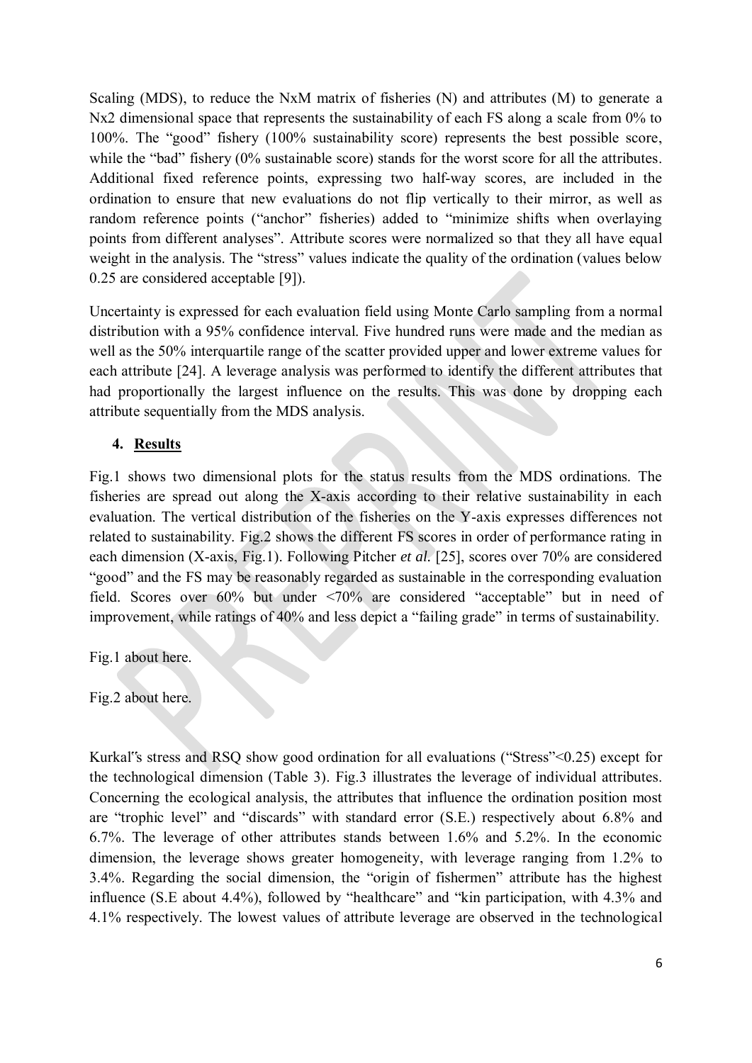Scaling (MDS), to reduce the NxM matrix of fisheries (N) and attributes (M) to generate a Nx2 dimensional space that represents the sustainability of each FS along a scale from 0% to 100%. The "good" fishery (100% sustainability score) represents the best possible score, while the "bad" fishery (0% sustainable score) stands for the worst score for all the attributes. Additional fixed reference points, expressing two half-way scores, are included in the ordination to ensure that new evaluations do not flip vertically to their mirror, as well as random reference points ("anchor" fisheries) added to "minimize shifts when overlaying points from different analyses". Attribute scores were normalized so that they all have equal weight in the analysis. The "stress" values indicate the quality of the ordination (values below 0.25 are considered acceptable [9]).

Uncertainty is expressed for each evaluation field using Monte Carlo sampling from a normal distribution with a 95% confidence interval. Five hundred runs were made and the median as well as the 50% interquartile range of the scatter provided upper and lower extreme values for each attribute [24]. A leverage analysis was performed to identify the different attributes that had proportionally the largest influence on the results. This was done by dropping each attribute sequentially from the MDS analysis.

### **4. Results**

Fig.1 shows two dimensional plots for the status results from the MDS ordinations. The fisheries are spread out along the X-axis according to their relative sustainability in each evaluation. The vertical distribution of the fisheries on the Y-axis expresses differences not related to sustainability. Fig.2 shows the different FS scores in order of performance rating in each dimension (X-axis, Fig.1). Following Pitcher *et al.* [25], scores over 70% are considered "good" and the FS may be reasonably regarded as sustainable in the corresponding evaluation field. Scores over 60% but under <70% are considered "acceptable" but in need of improvement, while ratings of 40% and less depict a "failing grade" in terms of sustainability.

Fig.1 about here.

Fig.2 about here.

Kurkal"s stress and RSQ show good ordination for all evaluations ("Stress"<0.25) except for the technological dimension (Table 3). Fig.3 illustrates the leverage of individual attributes. Concerning the ecological analysis, the attributes that influence the ordination position most are "trophic level" and "discards" with standard error (S.E.) respectively about 6.8% and 6.7%. The leverage of other attributes stands between 1.6% and 5.2%. In the economic dimension, the leverage shows greater homogeneity, with leverage ranging from 1.2% to 3.4%. Regarding the social dimension, the "origin of fishermen" attribute has the highest influence (S.E about 4.4%), followed by "healthcare" and "kin participation, with 4.3% and 4.1% respectively. The lowest values of attribute leverage are observed in the technological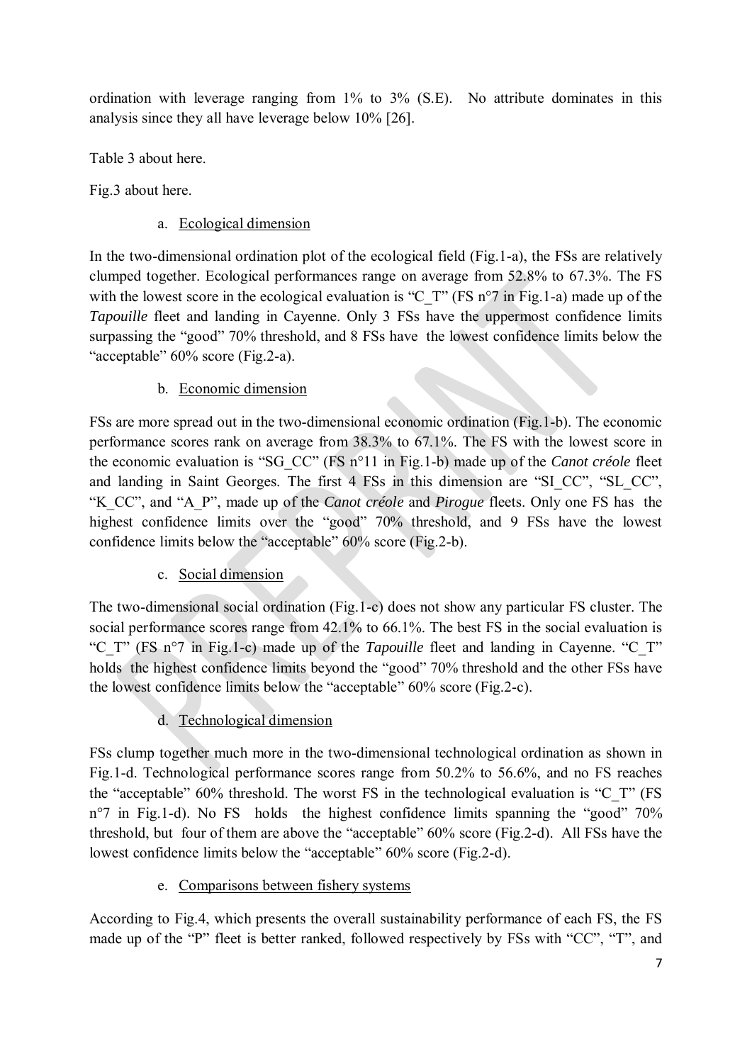ordination with leverage ranging from 1% to 3% (S.E). No attribute dominates in this analysis since they all have leverage below 10% [26].

Table 3 about here.

Fig.3 about here.

# a. Ecological dimension

In the two-dimensional ordination plot of the ecological field (Fig.1-a), the FSs are relatively clumped together. Ecological performances range on average from 52.8% to 67.3%. The FS with the lowest score in the ecological evaluation is "C\_T" (FS n°7 in Fig.1-a) made up of the *Tapouille* fleet and landing in Cayenne. Only 3 FSs have the uppermost confidence limits surpassing the "good" 70% threshold, and 8 FSs have the lowest confidence limits below the "acceptable" 60% score (Fig.2-a).

# b. Economic dimension

FSs are more spread out in the two-dimensional economic ordination (Fig.1-b). The economic performance scores rank on average from 38.3% to 67.1%. The FS with the lowest score in the economic evaluation is "SG\_CC" (FS n°11 in Fig.1-b) made up of the *Canot créole* fleet and landing in Saint Georges. The first 4 FSs in this dimension are "SI\_CC", "SL\_CC", "K\_CC", and "A\_P", made up of the *Canot créole* and *Pirogue* fleets. Only one FS has the highest confidence limits over the "good" 70% threshold, and 9 FSs have the lowest confidence limits below the "acceptable" 60% score (Fig.2-b).

# c. Social dimension

The two-dimensional social ordination (Fig.1-c) does not show any particular FS cluster. The social performance scores range from 42.1% to 66.1%. The best FS in the social evaluation is "C\_T" (FS n°7 in Fig.1-c) made up of the *Tapouille* fleet and landing in Cayenne. "C\_T" holds the highest confidence limits beyond the "good" 70% threshold and the other FSs have the lowest confidence limits below the "acceptable" 60% score (Fig.2-c).

# d. Technological dimension

FSs clump together much more in the two-dimensional technological ordination as shown in Fig.1-d. Technological performance scores range from 50.2% to 56.6%, and no FS reaches the "acceptable" 60% threshold. The worst FS in the technological evaluation is "C\_T" (FS n°7 in Fig.1-d). No FS holds the highest confidence limits spanning the "good" 70% threshold, but four of them are above the "acceptable" 60% score (Fig.2-d). All FSs have the lowest confidence limits below the "acceptable" 60% score (Fig.2-d).

# e. Comparisons between fishery systems

According to Fig.4, which presents the overall sustainability performance of each FS, the FS made up of the "P" fleet is better ranked, followed respectively by FSs with "CC", "T", and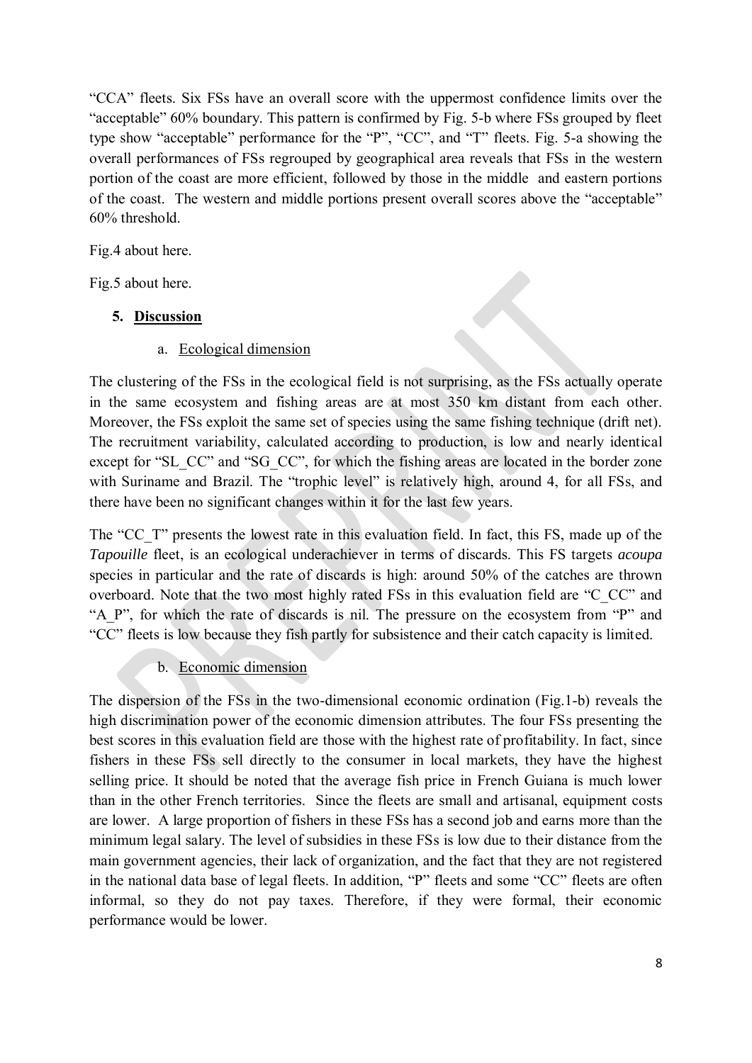"CCA" fleets. Six FSs have an overall score with the uppermost confidence limits over the "acceptable" 60% boundary. This pattern is confirmed by Fig. 5-b where FSs grouped by fleet type show "acceptable" performance for the "P", "CC", and "T" fleets. Fig. 5-a showing the overall performances of FSs regrouped by geographical area reveals that FSs in the western portion of the coast are more efficient, followed by those in the middle and eastern portions of the coast. The western and middle portions present overall scores above the "acceptable" 60% threshold.

Fig.4 about here.

Fig.5 about here.

### **5. Discussion**

a. Ecological dimension

The clustering of the FSs in the ecological field is not surprising, as the FSs actually operate in the same ecosystem and fishing areas are at most 350 km distant from each other. Moreover, the FSs exploit the same set of species using the same fishing technique (drift net). The recruitment variability, calculated according to production, is low and nearly identical except for "SL CC" and "SG CC", for which the fishing areas are located in the border zone with Suriname and Brazil. The "trophic level" is relatively high, around 4, for all FSs, and there have been no significant changes within it for the last few years.

The "CC\_T" presents the lowest rate in this evaluation field. In fact, this FS, made up of the *Tapouille* fleet, is an ecological underachiever in terms of discards. This FS targets *acoupa* species in particular and the rate of discards is high: around 50% of the catches are thrown overboard. Note that the two most highly rated FSs in this evaluation field are "C\_CC" and "A\_P", for which the rate of discards is nil. The pressure on the ecosystem from "P" and "CC" fleets is low because they fish partly for subsistence and their catch capacity is limited.

# b. Economic dimension

The dispersion of the FSs in the two-dimensional economic ordination (Fig.1-b) reveals the high discrimination power of the economic dimension attributes. The four FSs presenting the best scores in this evaluation field are those with the highest rate of profitability. In fact, since fishers in these FSs sell directly to the consumer in local markets, they have the highest selling price. It should be noted that the average fish price in French Guiana is much lower than in the other French territories. Since the fleets are small and artisanal, equipment costs are lower. A large proportion of fishers in these FSs has a second job and earns more than the minimum legal salary. The level of subsidies in these FSs is low due to their distance from the main government agencies, their lack of organization, and the fact that they are not registered in the national data base of legal fleets. In addition, "P" fleets and some "CC" fleets are often informal, so they do not pay taxes. Therefore, if they were formal, their economic performance would be lower.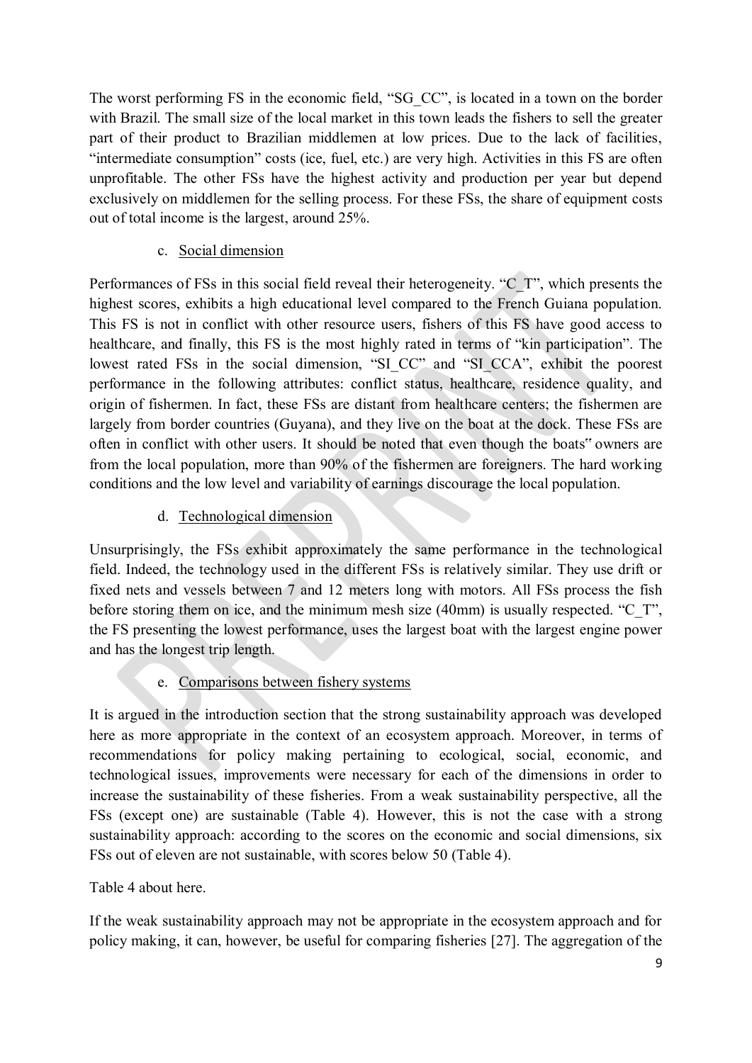The worst performing FS in the economic field, "SG\_CC", is located in a town on the border with Brazil. The small size of the local market in this town leads the fishers to sell the greater part of their product to Brazilian middlemen at low prices. Due to the lack of facilities, "intermediate consumption" costs (ice, fuel, etc.) are very high. Activities in this FS are often unprofitable. The other FSs have the highest activity and production per year but depend exclusively on middlemen for the selling process. For these FSs, the share of equipment costs out of total income is the largest, around 25%.

# c. Social dimension

Performances of FSs in this social field reveal their heterogeneity. "C\_T", which presents the highest scores, exhibits a high educational level compared to the French Guiana population. This FS is not in conflict with other resource users, fishers of this FS have good access to healthcare, and finally, this FS is the most highly rated in terms of "kin participation". The lowest rated FSs in the social dimension, "SI CC" and "SI CCA", exhibit the poorest performance in the following attributes: conflict status, healthcare, residence quality, and origin of fishermen. In fact, these FSs are distant from healthcare centers; the fishermen are largely from border countries (Guyana), and they live on the boat at the dock. These FSs are often in conflict with other users. It should be noted that even though the boats" owners are from the local population, more than 90% of the fishermen are foreigners. The hard working conditions and the low level and variability of earnings discourage the local population.

# d. Technological dimension

Unsurprisingly, the FSs exhibit approximately the same performance in the technological field. Indeed, the technology used in the different FSs is relatively similar. They use drift or fixed nets and vessels between 7 and 12 meters long with motors. All FSs process the fish before storing them on ice, and the minimum mesh size (40mm) is usually respected. "C\_T", the FS presenting the lowest performance, uses the largest boat with the largest engine power and has the longest trip length.

# e. Comparisons between fishery systems

It is argued in the introduction section that the strong sustainability approach was developed here as more appropriate in the context of an ecosystem approach. Moreover, in terms of recommendations for policy making pertaining to ecological, social, economic, and technological issues, improvements were necessary for each of the dimensions in order to increase the sustainability of these fisheries. From a weak sustainability perspective, all the FSs (except one) are sustainable (Table 4). However, this is not the case with a strong sustainability approach: according to the scores on the economic and social dimensions, six FSs out of eleven are not sustainable, with scores below 50 (Table 4).

# Table 4 about here.

If the weak sustainability approach may not be appropriate in the ecosystem approach and for policy making, it can, however, be useful for comparing fisheries [27]. The aggregation of the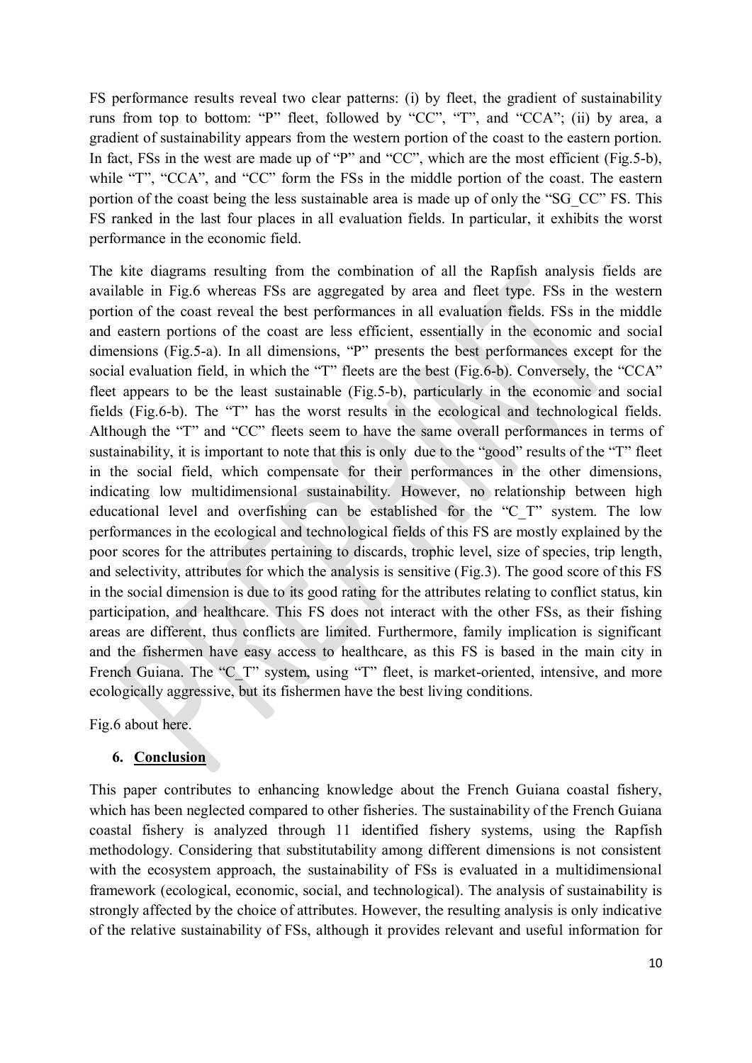FS performance results reveal two clear patterns: (i) by fleet, the gradient of sustainability runs from top to bottom: "P" fleet, followed by "CC", "T", and "CCA"; (ii) by area, a gradient of sustainability appears from the western portion of the coast to the eastern portion. In fact, FSs in the west are made up of "P" and "CC", which are the most efficient (Fig.5-b), while "T", "CCA", and "CC" form the FSs in the middle portion of the coast. The eastern portion of the coast being the less sustainable area is made up of only the "SG\_CC" FS. This FS ranked in the last four places in all evaluation fields. In particular, it exhibits the worst performance in the economic field.

The kite diagrams resulting from the combination of all the Rapfish analysis fields are available in Fig.6 whereas FSs are aggregated by area and fleet type. FSs in the western portion of the coast reveal the best performances in all evaluation fields. FSs in the middle and eastern portions of the coast are less efficient, essentially in the economic and social dimensions (Fig.5-a). In all dimensions, "P" presents the best performances except for the social evaluation field, in which the "T" fleets are the best (Fig.6-b). Conversely, the "CCA" fleet appears to be the least sustainable (Fig.5-b), particularly in the economic and social fields (Fig.6-b). The "T" has the worst results in the ecological and technological fields. Although the "T" and "CC" fleets seem to have the same overall performances in terms of sustainability, it is important to note that this is only due to the "good" results of the "T" fleet in the social field, which compensate for their performances in the other dimensions, indicating low multidimensional sustainability. However, no relationship between high educational level and overfishing can be established for the "C\_T" system. The low performances in the ecological and technological fields of this FS are mostly explained by the poor scores for the attributes pertaining to discards, trophic level, size of species, trip length, and selectivity, attributes for which the analysis is sensitive (Fig.3). The good score of this FS in the social dimension is due to its good rating for the attributes relating to conflict status, kin participation, and healthcare. This FS does not interact with the other FSs, as their fishing areas are different, thus conflicts are limited. Furthermore, family implication is significant and the fishermen have easy access to healthcare, as this FS is based in the main city in French Guiana. The "C\_T" system, using "T" fleet, is market-oriented, intensive, and more ecologically aggressive, but its fishermen have the best living conditions.

Fig.6 about here.

# **6. Conclusion**

This paper contributes to enhancing knowledge about the French Guiana coastal fishery, which has been neglected compared to other fisheries. The sustainability of the French Guiana coastal fishery is analyzed through 11 identified fishery systems, using the Rapfish methodology. Considering that substitutability among different dimensions is not consistent with the ecosystem approach, the sustainability of FSs is evaluated in a multidimensional framework (ecological, economic, social, and technological). The analysis of sustainability is strongly affected by the choice of attributes. However, the resulting analysis is only indicative of the relative sustainability of FSs, although it provides relevant and useful information for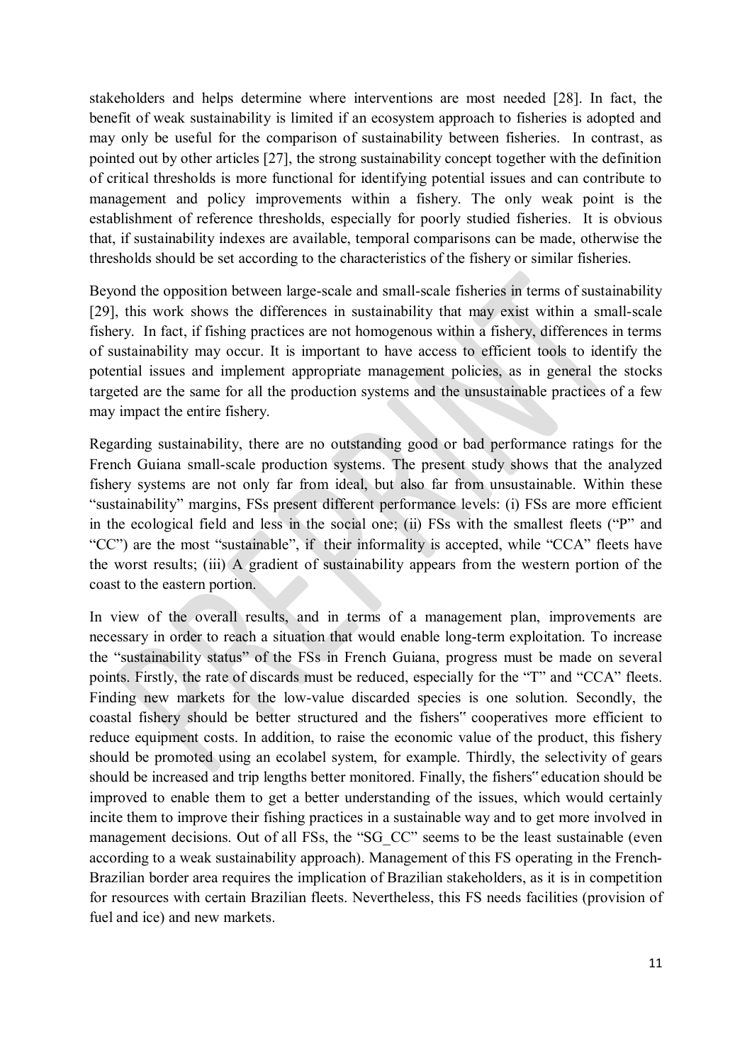stakeholders and helps determine where interventions are most needed [28]. In fact, the benefit of weak sustainability is limited if an ecosystem approach to fisheries is adopted and may only be useful for the comparison of sustainability between fisheries. In contrast, as pointed out by other articles [27], the strong sustainability concept together with the definition of critical thresholds is more functional for identifying potential issues and can contribute to management and policy improvements within a fishery. The only weak point is the establishment of reference thresholds, especially for poorly studied fisheries. It is obvious that, if sustainability indexes are available, temporal comparisons can be made, otherwise the thresholds should be set according to the characteristics of the fishery or similar fisheries.

Beyond the opposition between large-scale and small-scale fisheries in terms of sustainability [29], this work shows the differences in sustainability that may exist within a small-scale fishery. In fact, if fishing practices are not homogenous within a fishery, differences in terms of sustainability may occur. It is important to have access to efficient tools to identify the potential issues and implement appropriate management policies, as in general the stocks targeted are the same for all the production systems and the unsustainable practices of a few may impact the entire fishery.

Regarding sustainability, there are no outstanding good or bad performance ratings for the French Guiana small-scale production systems. The present study shows that the analyzed fishery systems are not only far from ideal, but also far from unsustainable. Within these "sustainability" margins, FSs present different performance levels: (i) FSs are more efficient in the ecological field and less in the social one; (ii) FSs with the smallest fleets ("P" and "CC") are the most "sustainable", if their informality is accepted, while "CCA" fleets have the worst results; (iii) A gradient of sustainability appears from the western portion of the coast to the eastern portion.

In view of the overall results, and in terms of a management plan, improvements are necessary in order to reach a situation that would enable long-term exploitation. To increase the "sustainability status" of the FSs in French Guiana, progress must be made on several points. Firstly, the rate of discards must be reduced, especially for the "T" and "CCA" fleets. Finding new markets for the low-value discarded species is one solution. Secondly, the coastal fishery should be better structured and the fishers" cooperatives more efficient to reduce equipment costs. In addition, to raise the economic value of the product, this fishery should be promoted using an ecolabel system, for example. Thirdly, the selectivity of gears should be increased and trip lengths better monitored. Finally, the fishers" education should be improved to enable them to get a better understanding of the issues, which would certainly incite them to improve their fishing practices in a sustainable way and to get more involved in management decisions. Out of all FSs, the "SG\_CC" seems to be the least sustainable (even according to a weak sustainability approach). Management of this FS operating in the French-Brazilian border area requires the implication of Brazilian stakeholders, as it is in competition for resources with certain Brazilian fleets. Nevertheless, this FS needs facilities (provision of fuel and ice) and new markets.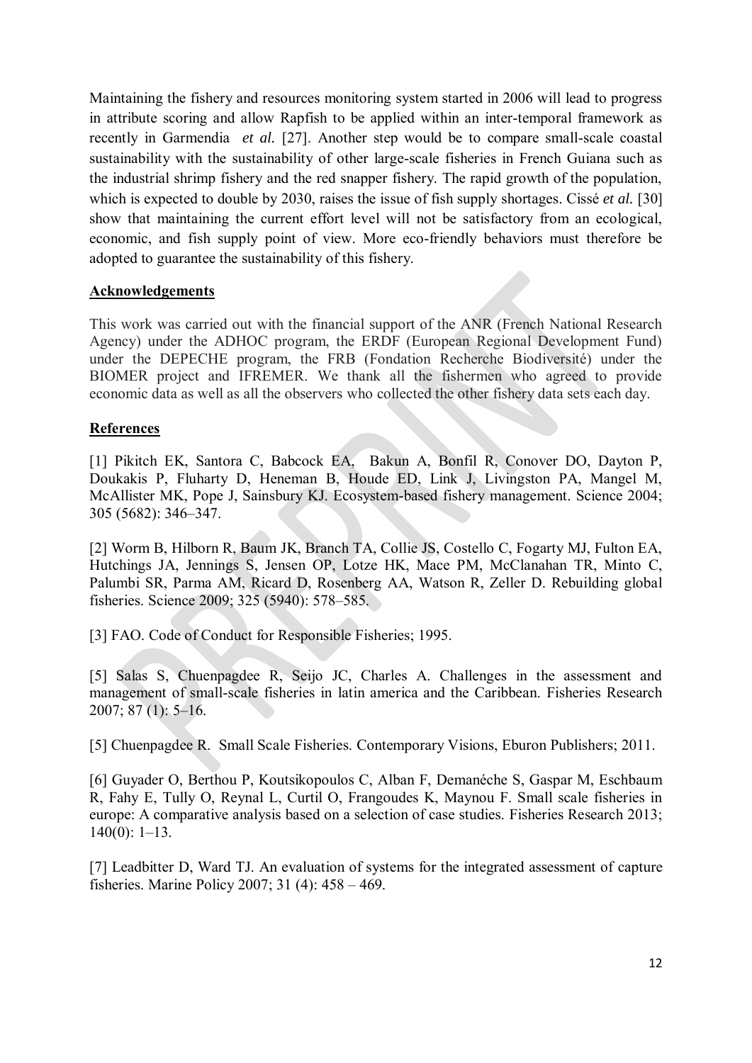Maintaining the fishery and resources monitoring system started in 2006 will lead to progress in attribute scoring and allow Rapfish to be applied within an inter-temporal framework as recently in Garmendia *et al.* [27]. Another step would be to compare small-scale coastal sustainability with the sustainability of other large-scale fisheries in French Guiana such as the industrial shrimp fishery and the red snapper fishery. The rapid growth of the population, which is expected to double by 2030, raises the issue of fish supply shortages. Cissé *et al.* [30] show that maintaining the current effort level will not be satisfactory from an ecological, economic, and fish supply point of view. More eco-friendly behaviors must therefore be adopted to guarantee the sustainability of this fishery.

#### **Acknowledgements**

This work was carried out with the financial support of the ANR (French National Research Agency) under the ADHOC program, the ERDF (European Regional Development Fund) under the DEPECHE program, the FRB (Fondation Recherche Biodiversité) under the BIOMER project and IFREMER. We thank all the fishermen who agreed to provide economic data as well as all the observers who collected the other fishery data sets each day.

#### **References**

[1] Pikitch EK, Santora C, Babcock EA, Bakun A, Bonfil R, Conover DO, Dayton P, Doukakis P, Fluharty D, Heneman B, Houde ED, Link J, Livingston PA, Mangel M, McAllister MK, Pope J, Sainsbury KJ. Ecosystem-based fishery management. Science 2004; 305 (5682): 346–347.

[2] Worm B, Hilborn R, Baum JK, Branch TA, Collie JS, Costello C, Fogarty MJ, Fulton EA, Hutchings JA, Jennings S, Jensen OP, Lotze HK, Mace PM, McClanahan TR, Minto C, Palumbi SR, Parma AM, Ricard D, Rosenberg AA, Watson R, Zeller D. Rebuilding global fisheries. Science 2009; 325 (5940): 578–585.

[3] FAO. Code of Conduct for Responsible Fisheries; 1995.

[5] Salas S, Chuenpagdee R, Seijo JC, Charles A. Challenges in the assessment and management of small-scale fisheries in latin america and the Caribbean. Fisheries Research 2007; 87 (1): 5–16.

[5] Chuenpagdee R. Small Scale Fisheries. Contemporary Visions, Eburon Publishers; 2011.

[6] Guyader O, Berthou P, Koutsikopoulos C, Alban F, Demanéche S, Gaspar M, Eschbaum R, Fahy E, Tully O, Reynal L, Curtil O, Frangoudes K, Maynou F. Small scale fisheries in europe: A comparative analysis based on a selection of case studies. Fisheries Research 2013; 140(0): 1–13.

[7] Leadbitter D, Ward TJ. An evaluation of systems for the integrated assessment of capture fisheries. Marine Policy 2007; 31 (4): 458 – 469.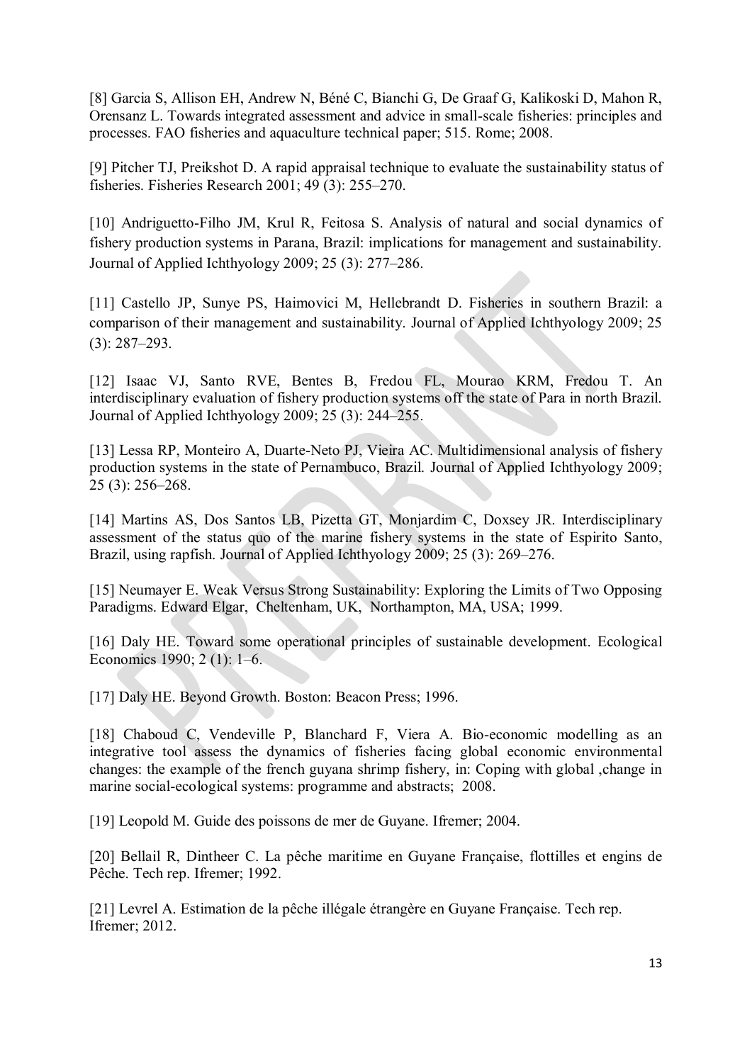[8] Garcia S, Allison EH, Andrew N, Béné C, Bianchi G, De Graaf G, Kalikoski D, Mahon R, Orensanz L. Towards integrated assessment and advice in small-scale fisheries: principles and processes. FAO fisheries and aquaculture technical paper; 515. Rome; 2008.

[9] Pitcher TJ, Preikshot D. A rapid appraisal technique to evaluate the sustainability status of fisheries. Fisheries Research 2001; 49 (3): 255–270.

[10] Andriguetto-Filho JM, Krul R, Feitosa S. Analysis of natural and social dynamics of fishery production systems in Parana, Brazil: implications for management and sustainability. Journal of Applied Ichthyology 2009; 25 (3): 277–286.

[11] Castello JP, Sunye PS, Haimovici M, Hellebrandt D. Fisheries in southern Brazil: a comparison of their management and sustainability. Journal of Applied Ichthyology 2009; 25 (3): 287–293.

[12] Isaac VJ, Santo RVE, Bentes B, Fredou FL, Mourao KRM, Fredou T. An interdisciplinary evaluation of fishery production systems off the state of Para in north Brazil. Journal of Applied Ichthyology 2009; 25 (3): 244–255.

[13] Lessa RP, Monteiro A, Duarte-Neto PJ, Vieira AC. Multidimensional analysis of fishery production systems in the state of Pernambuco, Brazil. Journal of Applied Ichthyology 2009; 25 (3): 256–268.

[14] Martins AS, Dos Santos LB, Pizetta GT, Monjardim C, Doxsey JR. Interdisciplinary assessment of the status quo of the marine fishery systems in the state of Espirito Santo, Brazil, using rapfish. Journal of Applied Ichthyology 2009; 25 (3): 269–276.

[15] Neumayer E. Weak Versus Strong Sustainability: Exploring the Limits of Two Opposing Paradigms. Edward Elgar, Cheltenham, UK, Northampton, MA, USA; 1999.

[16] Daly HE. Toward some operational principles of sustainable development. Ecological Economics 1990; 2 (1): 1–6.

[17] Daly HE. Beyond Growth. Boston: Beacon Press; 1996.

[18] Chaboud C, Vendeville P, Blanchard F, Viera A. Bio-economic modelling as an integrative tool assess the dynamics of fisheries facing global economic environmental changes: the example of the french guyana shrimp fishery, in: Coping with global ,change in marine social-ecological systems: programme and abstracts; 2008.

[19] Leopold M. Guide des poissons de mer de Guyane. Ifremer; 2004.

[20] Bellail R, Dintheer C. La pêche maritime en Guyane Française, flottilles et engins de Pêche. Tech rep. Ifremer; 1992.

[21] Levrel A. Estimation de la pêche illégale étrangère en Guyane Française. Tech rep. Ifremer; 2012.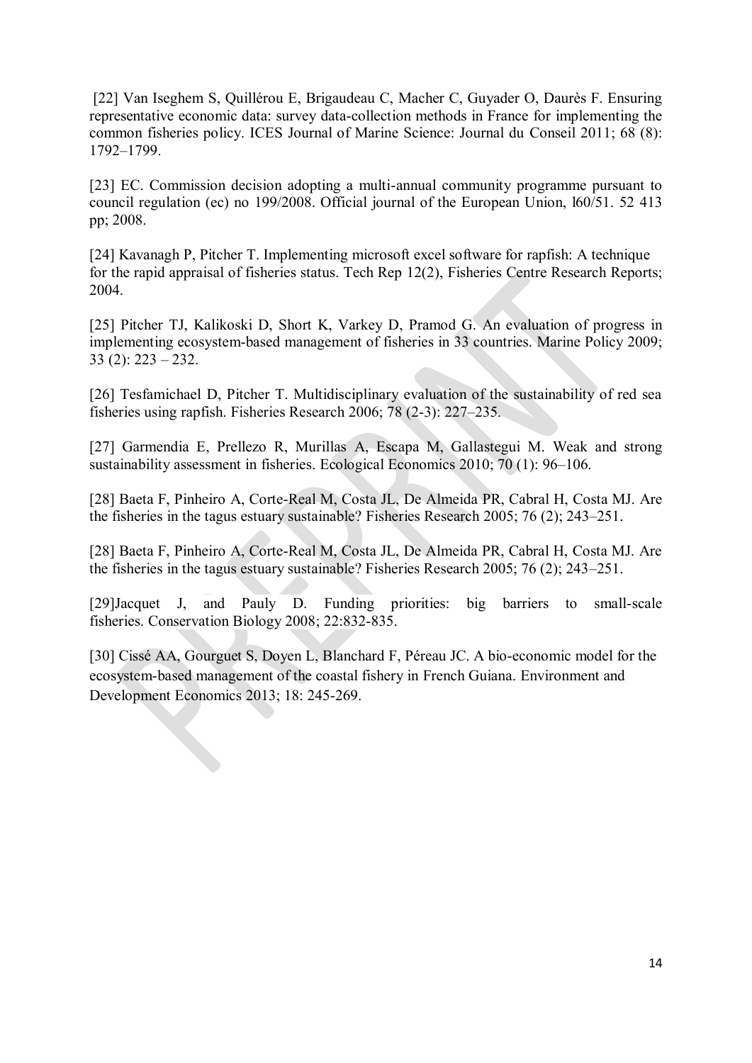[22] Van Iseghem S, Quillérou E, Brigaudeau C, Macher C, Guyader O, Daurès F. Ensuring representative economic data: survey data-collection methods in France for implementing the common fisheries policy. ICES Journal of Marine Science: Journal du Conseil 2011; 68 (8): 1792–1799.

[23] EC. Commission decision adopting a multi-annual community programme pursuant to council regulation (ec) no 199/2008. Official journal of the European Union, l60/51. 52 413 pp; 2008.

[24] Kavanagh P, Pitcher T. Implementing microsoft excel software for rapfish: A technique for the rapid appraisal of fisheries status. Tech Rep 12(2), Fisheries Centre Research Reports; 2004.

[25] Pitcher TJ, Kalikoski D, Short K, Varkey D, Pramod G. An evaluation of progress in implementing ecosystem-based management of fisheries in 33 countries. Marine Policy 2009; 33 (2): 223 – 232.

[26] Tesfamichael D, Pitcher T. Multidisciplinary evaluation of the sustainability of red sea fisheries using rapfish. Fisheries Research 2006; 78 (2-3): 227–235.

[27] Garmendia E, Prellezo R, Murillas A, Escapa M, Gallastegui M. Weak and strong sustainability assessment in fisheries. Ecological Economics 2010; 70 (1): 96–106.

[28] Baeta F, Pinheiro A, Corte-Real M, Costa JL, De Almeida PR, Cabral H, Costa MJ. Are the fisheries in the tagus estuary sustainable? Fisheries Research 2005; 76 (2); 243–251.

[28] Baeta F, Pinheiro A, Corte-Real M, Costa JL, De Almeida PR, Cabral H, Costa MJ. Are the fisheries in the tagus estuary sustainable? Fisheries Research 2005; 76 (2); 243–251.

[29]Jacquet J, and Pauly D. Funding priorities: big barriers to small-scale fisheries. Conservation Biology 2008; 22:832-835.

[30] Cissé AA, Gourguet S, Doyen L, Blanchard F, Péreau JC. A bio-economic model for the ecosystem-based management of the coastal fishery in French Guiana. Environment and Development Economics 2013; 18: 245-269.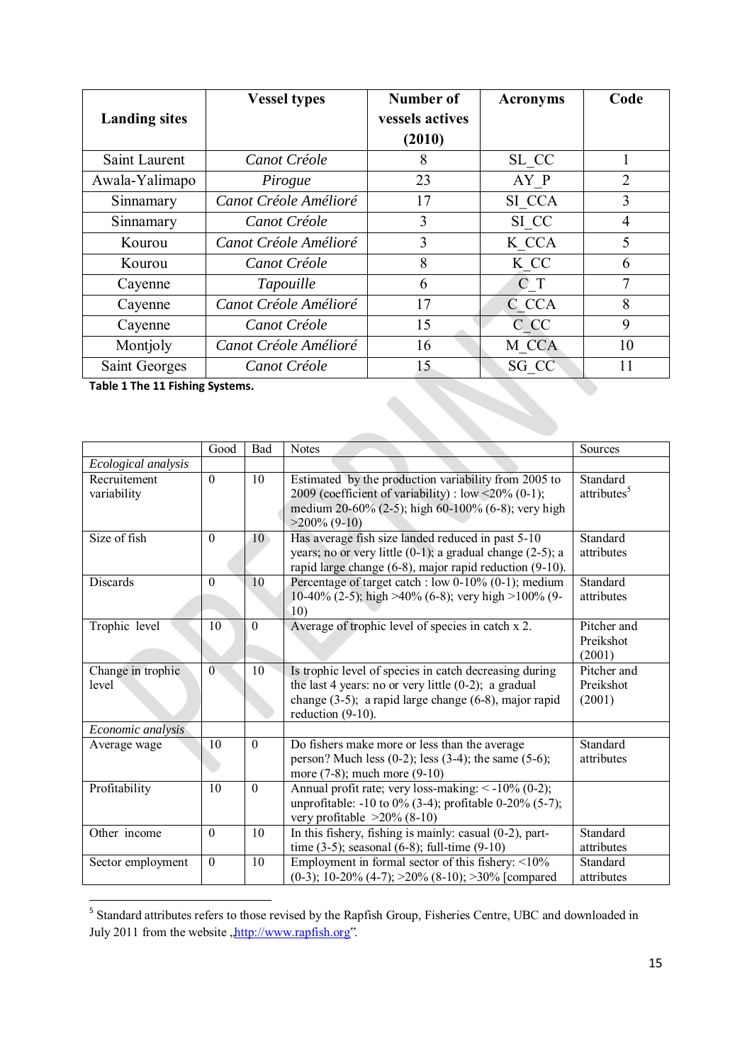| <b>Landing sites</b> | <b>Vessel types</b>   | Number of<br>vessels actives<br>(2010) |        | Code |
|----------------------|-----------------------|----------------------------------------|--------|------|
| Saint Laurent        | Canot Créole          | 8                                      | SL CC  |      |
| Awala-Yalimapo       | Pirogue               | 23                                     | AY P   | 2    |
| Sinnamary            | Canot Créole Amélioré | 17                                     | SI CCA | 3    |
| Sinnamary            | Canot Créole          | 3                                      | SI CC  | 4    |
| Kourou               | Canot Créole Amélioré | 3                                      | K CCA  | 5    |
| Kourou               | Canot Créole          | 8                                      | K CC   | 6    |
| Cayenne              | <i>Tapouille</i>      | 6                                      | C T    | 7    |
| Cayenne              | Canot Créole Amélioré | 17                                     | C CCA  | 8    |
| Cayenne              | Canot Créole          | 15                                     | C CC   | 9    |
| Montjoly             | Canot Créole Amélioré | 16                                     | M CCA  | 10   |
| Saint Georges        | Canot Créole          | 15                                     | SG CC  |      |

**START CONTROLLER** 

**Table 1 The 11 Fishing Systems.**

|                             | Good           | Bad      | <b>Notes</b>                                                                                                                                                                                             | Sources                             |
|-----------------------------|----------------|----------|----------------------------------------------------------------------------------------------------------------------------------------------------------------------------------------------------------|-------------------------------------|
| Ecological analysis         |                |          |                                                                                                                                                                                                          |                                     |
| Recruitement<br>variability | $\theta$       | 10       | Estimated by the production variability from 2005 to<br>2009 (coefficient of variability) : low <20% (0-1);<br>medium 20-60% (2-5); high 60-100% (6-8); very high<br>$>200\%$ (9-10)                     | Standard<br>attributes <sup>5</sup> |
| Size of fish                | $\mathbf{0}$   | 10       | Has average fish size landed reduced in past 5-10<br>years; no or very little $(0-1)$ ; a gradual change $(2-5)$ ; a<br>rapid large change (6-8), major rapid reduction (9-10).                          | Standard<br>attributes              |
| <b>Discards</b>             | $\mathbf{0}$   | 10       | Percentage of target catch : low $0-10\%$ (0-1); medium<br>10-40% (2-5); high >40% (6-8); very high >100% (9-<br>10)                                                                                     | Standard<br>attributes              |
| Trophic level               | 10             | $\Omega$ | Average of trophic level of species in catch x 2.                                                                                                                                                        | Pitcher and<br>Preikshot<br>(2001)  |
| Change in trophic<br>level  | $\overline{0}$ | 10       | Is trophic level of species in catch decreasing during<br>the last 4 years: no or very little $(0-2)$ ; a gradual<br>change $(3-5)$ ; a rapid large change $(6-8)$ , major rapid<br>reduction $(9-10)$ . | Pitcher and<br>Preikshot<br>(2001)  |
| Economic analysis           |                |          |                                                                                                                                                                                                          |                                     |
| Average wage                | 10             | $\Omega$ | Do fishers make more or less than the average<br>person? Much less $(0-2)$ ; less $(3-4)$ ; the same $(5-6)$ ;<br>more (7-8); much more (9-10)                                                           | Standard<br>attributes              |
| Profitability               | 10             | $\theta$ | Annual profit rate; very loss-making: $\lt$ -10% (0-2);<br>unprofitable: -10 to 0% (3-4); profitable 0-20% (5-7);<br>very profitable $>20\%$ (8-10)                                                      |                                     |
| Other income                | $\theta$       | 10       | In this fishery, fishing is mainly: casual $(0-2)$ , part-<br>time $(3-5)$ ; seasonal $(6-8)$ ; full-time $(9-10)$                                                                                       | Standard<br>attributes              |
| Sector employment           | $\mathbf{0}$   | 10       | Employment in formal sector of this fishery: <10%<br>(0-3); 10-20% (4-7); $>20\%$ (8-10); $>30\%$ [compared                                                                                              | Standard<br>attributes              |

<sup>&</sup>lt;sup>5</sup> Standard attributes refers to those revised by the Rapfish Group, Fisheries Centre, UBC and downloaded in July 2011 from the website , http://www.rapfish.org".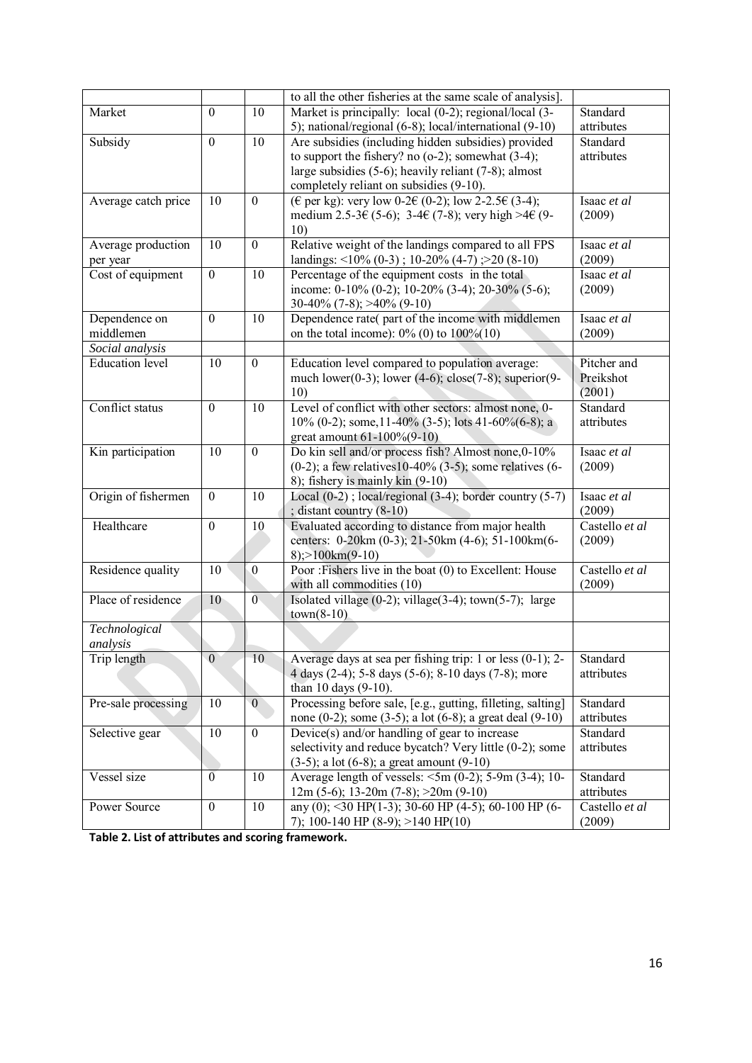|                        |                  |                  | to all the other fisheries at the same scale of analysis].          |                |
|------------------------|------------------|------------------|---------------------------------------------------------------------|----------------|
| Market                 | $\mathbf{0}$     | 10               | Market is principally: local (0-2); regional/local (3-              | Standard       |
|                        |                  |                  | 5); national/regional (6-8); local/international (9-10)             | attributes     |
| Subsidy                | $\boldsymbol{0}$ | 10               | Are subsidies (including hidden subsidies) provided                 | Standard       |
|                        |                  |                  | to support the fishery? no $(o-2)$ ; somewhat $(3-4)$ ;             | attributes     |
|                        |                  |                  | large subsidies $(5-6)$ ; heavily reliant $(7-8)$ ; almost          |                |
|                        |                  |                  | completely reliant on subsidies (9-10).                             |                |
| Average catch price    | 10               | $\boldsymbol{0}$ | (€ per kg): very low 0-2€ (0-2); low 2-2.5€ (3-4);                  | Isaac et al    |
|                        |                  |                  | (2009)                                                              |                |
|                        |                  |                  | medium 2.5-3€ (5-6); 3-4€ (7-8); very high >4€ (9-<br>10)           |                |
|                        | $\overline{10}$  | $\overline{0}$   |                                                                     |                |
| Average production     |                  |                  | Relative weight of the landings compared to all FPS                 | Isaac et al    |
| per year               |                  |                  | landings: <10% (0-3); 10-20% (4-7); >20 (8-10)                      | (2009)         |
| Cost of equipment      | $\overline{0}$   | $\overline{10}$  | Percentage of the equipment costs in the total                      | Isaac et al    |
|                        |                  |                  | income: $0-10\%$ (0-2); 10-20% (3-4); 20-30% (5-6);                 | (2009)         |
|                        |                  |                  | $30-40\%$ (7-8); >40% (9-10)                                        |                |
| Dependence on          | $\boldsymbol{0}$ | 10               | Dependence rate(part of the income with middlemen                   | Isaac et al    |
| middlemen              |                  |                  | on the total income): $0\%$ (0) to $100\%$ (10)                     | (2009)         |
| Social analysis        |                  |                  |                                                                     |                |
| <b>Education</b> level | 10               | $\boldsymbol{0}$ | Education level compared to population average:                     | Pitcher and    |
|                        |                  |                  | much lower(0-3); lower $(4-6)$ ; close(7-8); superior(9-            | Preikshot      |
|                        |                  |                  | 10)                                                                 | (2001)         |
| Conflict status        | $\boldsymbol{0}$ | 10               | Level of conflict with other sectors: almost none, 0-               | Standard       |
|                        |                  |                  | 10% (0-2); some, 11-40% (3-5); lots 41-60% (6-8); a                 | attributes     |
|                        |                  |                  | great amount 61-100%(9-10)                                          |                |
| Kin participation      | 10               | $\boldsymbol{0}$ | Do kin sell and/or process fish? Almost none, 0-10%                 | Isaac et al    |
|                        |                  |                  | $(0-2)$ ; a few relatives 10-40% (3-5); some relatives (6-          | (2009)         |
|                        |                  |                  | 8); fishery is mainly kin $(9-10)$                                  |                |
| Origin of fishermen    | $\boldsymbol{0}$ | 10               | Local $(0-2)$ ; local/regional $(3-4)$ ; border country $(5-7)$     | Isaac et al    |
|                        |                  |                  | ; distant country $(8-10)$                                          | (2009)         |
| Healthcare             | $\boldsymbol{0}$ | 10               | Evaluated according to distance from major health                   | Castello et al |
|                        |                  |                  | centers: 0-20km (0-3); 21-50km (4-6); 51-100km(6-<br>(2009)         |                |
|                        |                  |                  | $8)$ ; > 100 km(9-10)                                               |                |
| Residence quality      | 10               | $\boldsymbol{0}$ | Poor: Fishers live in the boat (0) to Excellent: House              | Castello et al |
|                        |                  |                  | with all commodities (10)                                           | (2009)         |
| Place of residence     | 10               | $\overline{0}$   | Isolated village $(0-2)$ ; village $(3-4)$ ; town $(5-7)$ ; large   |                |
|                        |                  |                  | $town(8-10)$                                                        |                |
| Technological          |                  |                  |                                                                     |                |
| analysis               |                  |                  |                                                                     |                |
| Trip length            | $\mathbf{0}$     | 10               | Average days at sea per fishing trip: 1 or less $(0-1)$ ; 2-        | Standard       |
|                        |                  |                  | 4 days (2-4); 5-8 days (5-6); 8-10 days (7-8); more                 | attributes     |
|                        |                  |                  | than 10 days (9-10).                                                |                |
| Pre-sale processing    | 10               | $\overline{0}$   | Processing before sale, [e.g., gutting, filleting, salting]         | Standard       |
|                        |                  |                  | none $(0-2)$ ; some $(3-5)$ ; a lot $(6-8)$ ; a great deal $(9-10)$ | attributes     |
| Selective gear         | 10               | $\boldsymbol{0}$ | Device(s) and/or handling of gear to increase                       | Standard       |
|                        |                  |                  | selectivity and reduce bycatch? Very little (0-2); some             | attributes     |
|                        |                  |                  | $(3-5)$ ; a lot $(6-8)$ ; a great amount $(9-10)$                   |                |
| Vessel size            | $\overline{0}$   | 10               | Average length of vessels: <5m (0-2); 5-9m (3-4); 10-               | Standard       |
|                        |                  |                  | $12m (5-6)$ ; 13-20m $(7-8)$ ; >20m $(9-10)$                        | attributes     |
| Power Source           | $\boldsymbol{0}$ | 10               | any (0); <30 HP(1-3); 30-60 HP (4-5); 60-100 HP (6-                 | Castello et al |
|                        |                  |                  | 7); 100-140 HP (8-9); $>140$ HP(10)                                 | (2009)         |
|                        |                  |                  |                                                                     |                |

**Table 2. List of attributes and scoring framework.**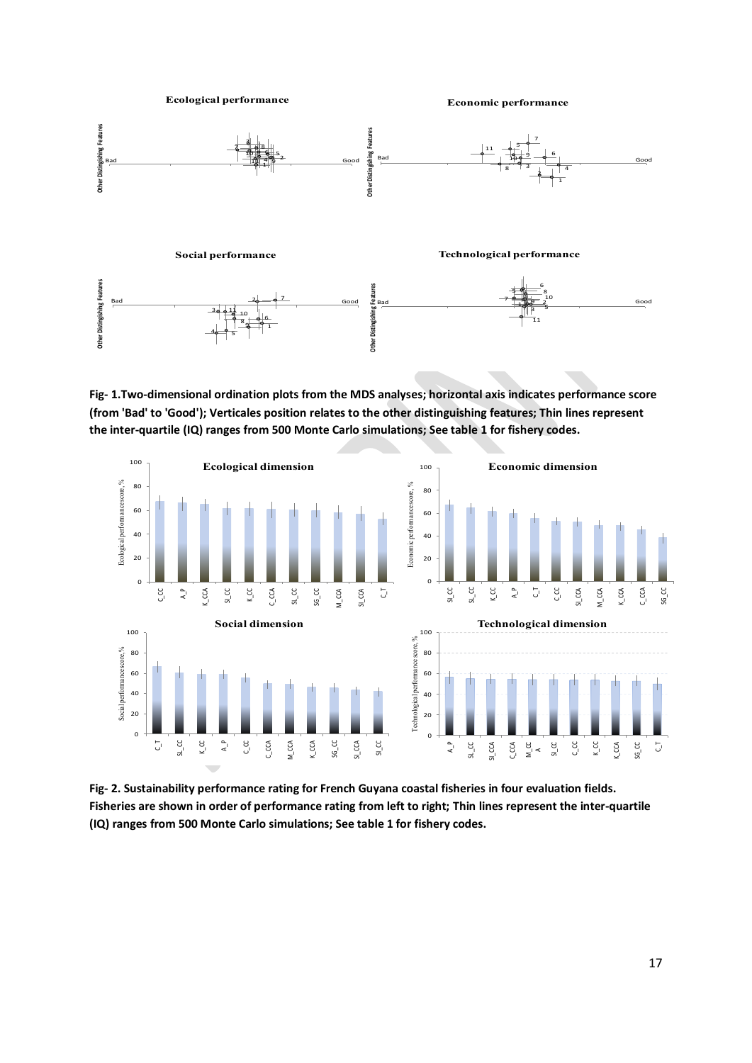

**Fig- 1.Two-dimensional ordination plots from the MDS analyses; horizontal axis indicates performance score (from 'Bad' to 'Good'); Verticales position relates to the other distinguishing features; Thin lines represent the inter-quartile (IQ) ranges from 500 Monte Carlo simulations; See table 1 for fishery codes.**



**Fig- 2. Sustainability performance rating for French Guyana coastal fisheries in four evaluation fields. Fisheries are shown in order of performance rating from left to right; Thin lines represent the inter-quartile (IQ) ranges from 500 Monte Carlo simulations; See table 1 for fishery codes.**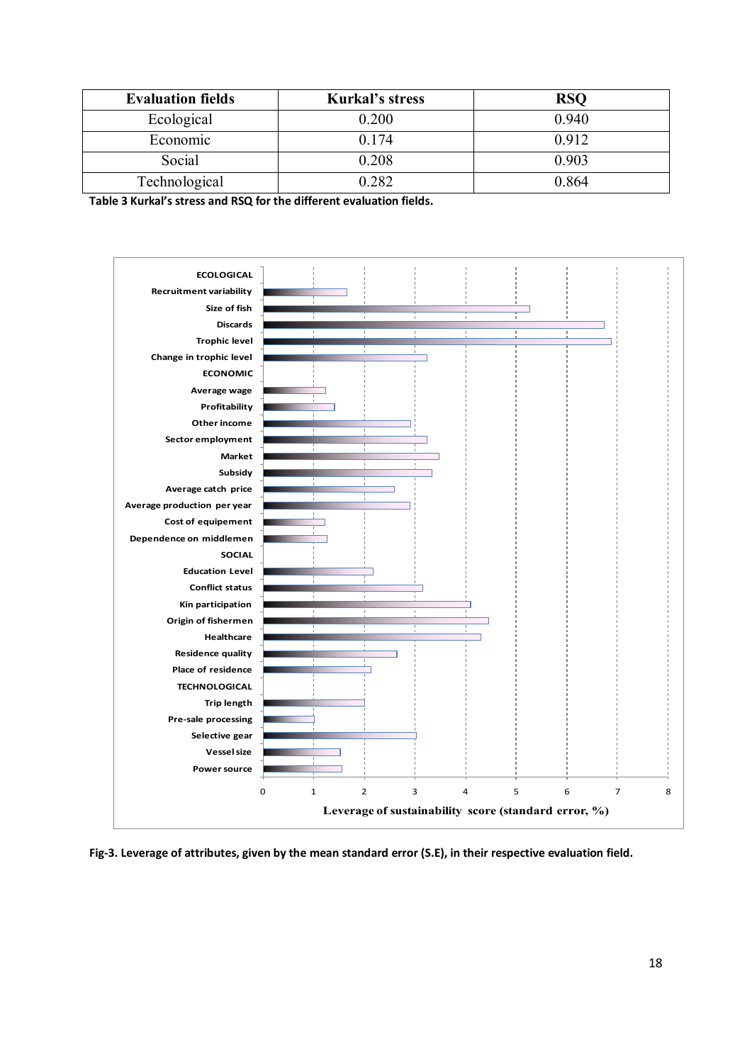| <b>Evaluation fields</b> | <b>Kurkal's stress</b> | <b>RSO</b> |  |  |
|--------------------------|------------------------|------------|--|--|
| Ecological               | 0.200                  | 0.940      |  |  |
| Economic                 | 0.174                  | 0.912      |  |  |
| Social                   | 0.208                  | 0.903      |  |  |
| Technological            | 0.282                  | 0.864      |  |  |

**Table 3 Kurkal's stress and RSQ for the different evaluation fields.**



**Fig-3. Leverage of attributes, given by the mean standard error (S.E), in their respective evaluation field.**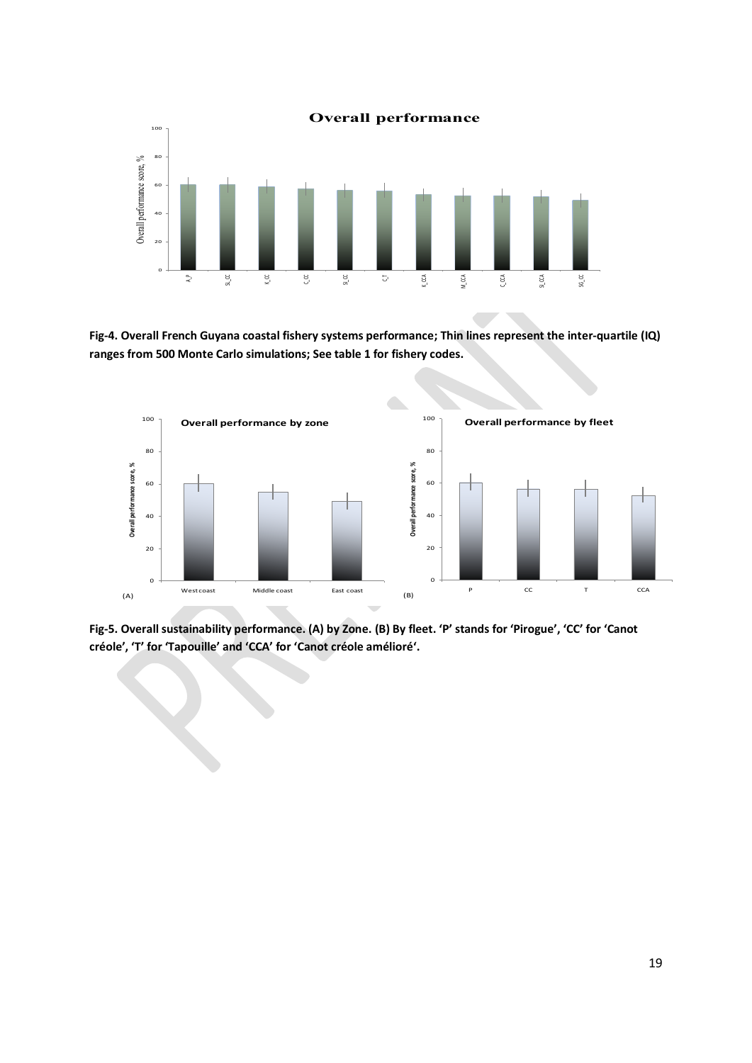

**Fig-4. Overall French Guyana coastal fishery systems performance; Thin lines represent the inter-quartile (IQ) ranges from 500 Monte Carlo simulations; See table 1 for fishery codes.**



**Fig-5. Overall sustainability performance. (A) by Zone. (B) By fleet. 'P' stands for 'Pirogue', 'CC' for 'Canot créole', 'T' for 'Tapouille' and 'CCA' for 'Canot créole amélioré'.**